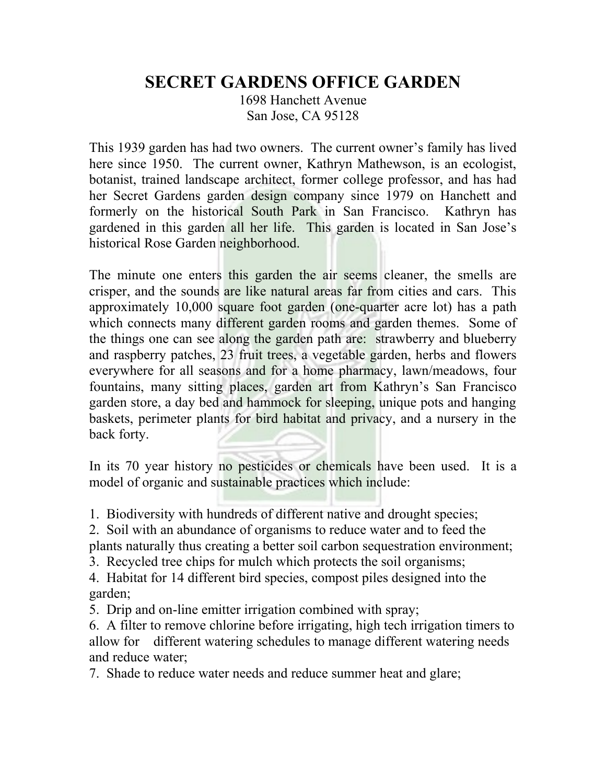## **SECRET GARDENS OFFICE GARDEN**

1698 Hanchett Avenue San Jose, CA 95128

This 1939 garden has had two owners. The current owner's family has lived here since 1950. The current owner, Kathryn Mathewson, is an ecologist, botanist, trained landscape architect, former college professor, and has had her Secret Gardens garden design company since 1979 on Hanchett and formerly on the historical South Park in San Francisco. Kathryn has gardened in this garden all her life. This garden is located in San Jose's historical Rose Garden neighborhood.

The minute one enters this garden the air seems cleaner, the smells are crisper, and the sounds are like natural areas far from cities and cars. This approximately 10,000 square foot garden (one-quarter acre lot) has a path which connects many different garden rooms and garden themes. Some of the things one can see along the garden path are: strawberry and blueberry and raspberry patches, 23 fruit trees, a vegetable garden, herbs and flowers everywhere for all seasons and for a home pharmacy, lawn/meadows, four fountains, many sitting places, garden art from Kathryn's San Francisco garden store, a day bed and hammock for sleeping, unique pots and hanging baskets, perimeter plants for bird habitat and privacy, and a nursery in the back forty.

In its 70 year history no pesticides or chemicals have been used. It is a model of organic and sustainable practices which include:

1. Biodiversity with hundreds of different native and drought species;

2. Soil with an abundance of organisms to reduce water and to feed the plants naturally thus creating a better soil carbon sequestration environment;

3. Recycled tree chips for mulch which protects the soil organisms;

4. Habitat for 14 different bird species, compost piles designed into the garden;

5. Drip and on-line emitter irrigation combined with spray;

6. A filter to remove chlorine before irrigating, high tech irrigation timers to allow for different watering schedules to manage different watering needs and reduce water;

7. Shade to reduce water needs and reduce summer heat and glare;